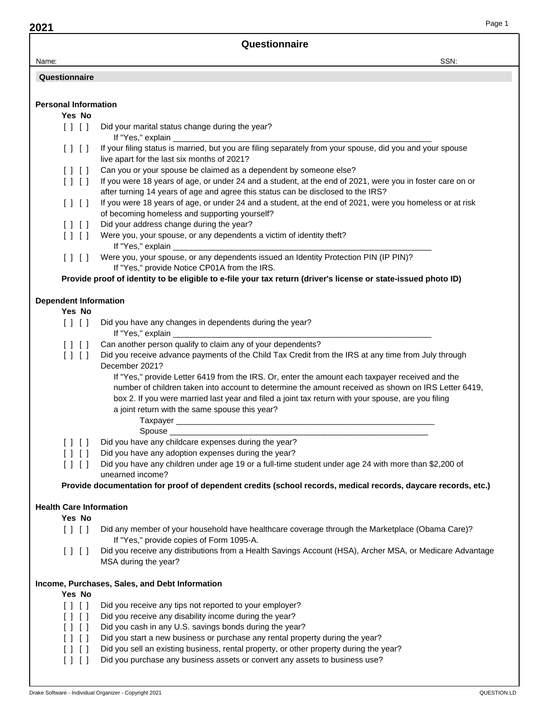| Page 1                                                                                                                                                                                                                                                                                                       |
|--------------------------------------------------------------------------------------------------------------------------------------------------------------------------------------------------------------------------------------------------------------------------------------------------------------|
| Questionnaire                                                                                                                                                                                                                                                                                                |
| SSN:                                                                                                                                                                                                                                                                                                         |
|                                                                                                                                                                                                                                                                                                              |
| <b>Personal Information</b>                                                                                                                                                                                                                                                                                  |
|                                                                                                                                                                                                                                                                                                              |
| Did your marital status change during the year?                                                                                                                                                                                                                                                              |
| If your filing status is married, but you are filing separately from your spouse, did you and your spouse<br>live apart for the last six months of 2021?                                                                                                                                                     |
| Can you or your spouse be claimed as a dependent by someone else?                                                                                                                                                                                                                                            |
| If you were 18 years of age, or under 24 and a student, at the end of 2021, were you in foster care on or                                                                                                                                                                                                    |
| after turning 14 years of age and agree this status can be disclosed to the IRS?                                                                                                                                                                                                                             |
| If you were 18 years of age, or under 24 and a student, at the end of 2021, were you homeless or at risk                                                                                                                                                                                                     |
| of becoming homeless and supporting yourself?                                                                                                                                                                                                                                                                |
| Did your address change during the year?                                                                                                                                                                                                                                                                     |
| Were you, your spouse, or any dependents a victim of identity theft?                                                                                                                                                                                                                                         |
| Were you, your spouse, or any dependents issued an Identity Protection PIN (IP PIN)?<br>If "Yes," provide Notice CP01A from the IRS.                                                                                                                                                                         |
| Provide proof of identity to be eligible to e-file your tax return (driver's license or state-issued photo ID)                                                                                                                                                                                               |
| <b>Dependent Information</b>                                                                                                                                                                                                                                                                                 |
|                                                                                                                                                                                                                                                                                                              |
| Did you have any changes in dependents during the year?                                                                                                                                                                                                                                                      |
| Can another person qualify to claim any of your dependents?                                                                                                                                                                                                                                                  |
| Did you receive advance payments of the Child Tax Credit from the IRS at any time from July through<br>December 2021?                                                                                                                                                                                        |
| If "Yes," provide Letter 6419 from the IRS. Or, enter the amount each taxpayer received and the<br>number of children taken into account to determine the amount received as shown on IRS Letter 6419,<br>box 2. If you were married last year and filed a joint tax return with your spouse, are you filing |
| a joint return with the same spouse this year?                                                                                                                                                                                                                                                               |
|                                                                                                                                                                                                                                                                                                              |
| Spouse <sub>_</sub>                                                                                                                                                                                                                                                                                          |
| Did you have any childcare expenses during the year?                                                                                                                                                                                                                                                         |
| Did you have any adoption expenses during the year?                                                                                                                                                                                                                                                          |
| Did you have any children under age 19 or a full-time student under age 24 with more than \$2,200 of<br>unearned income?                                                                                                                                                                                     |
| Provide documentation for proof of dependent credits (school records, medical records, daycare records, etc.)                                                                                                                                                                                                |
| <b>Health Care Information</b>                                                                                                                                                                                                                                                                               |
|                                                                                                                                                                                                                                                                                                              |
| Did any member of your household have healthcare coverage through the Marketplace (Obama Care)?<br>If "Yes," provide copies of Form 1095-A.                                                                                                                                                                  |
| Did you receive any distributions from a Health Savings Account (HSA), Archer MSA, or Medicare Advantage<br>MSA during the year?                                                                                                                                                                             |
| Income, Purchases, Sales, and Debt Information                                                                                                                                                                                                                                                               |
|                                                                                                                                                                                                                                                                                                              |
| Did you receive any tips not reported to your employer?<br>Did you receive any disability income during the year?                                                                                                                                                                                            |
| Did you cash in any U.S. savings bonds during the year?                                                                                                                                                                                                                                                      |
| Did you start a new business or purchase any rental property during the year?                                                                                                                                                                                                                                |
| Did you sell an existing business, rental property, or other property during the year?                                                                                                                                                                                                                       |
| Did you purchase any business assets or convert any assets to business use?                                                                                                                                                                                                                                  |
|                                                                                                                                                                                                                                                                                                              |
|                                                                                                                                                                                                                                                                                                              |

Page 1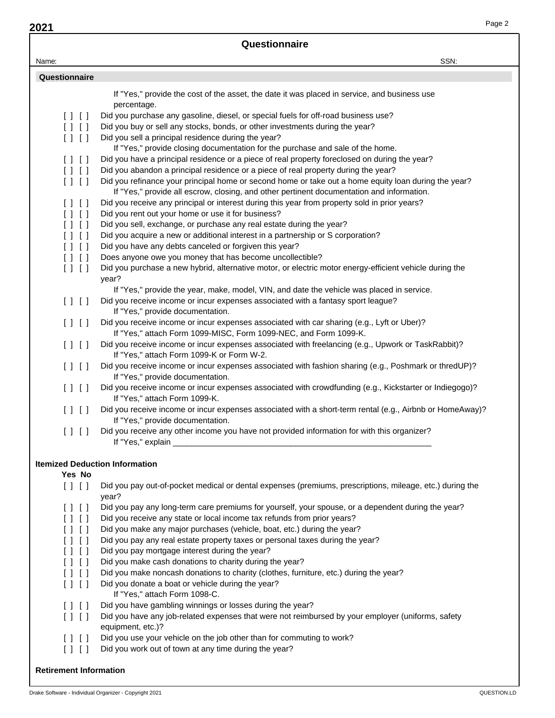| Questionnaire                                                        |                                                                                                                                                                                            |      |  |
|----------------------------------------------------------------------|--------------------------------------------------------------------------------------------------------------------------------------------------------------------------------------------|------|--|
| Name:                                                                |                                                                                                                                                                                            | SSN: |  |
| Questionnaire                                                        |                                                                                                                                                                                            |      |  |
|                                                                      |                                                                                                                                                                                            |      |  |
|                                                                      | If "Yes," provide the cost of the asset, the date it was placed in service, and business use<br>percentage.                                                                                |      |  |
| [11]                                                                 | Did you purchase any gasoline, diesel, or special fuels for off-road business use?                                                                                                         |      |  |
| [11]                                                                 | Did you buy or sell any stocks, bonds, or other investments during the year?                                                                                                               |      |  |
| [1]                                                                  | Did you sell a principal residence during the year?                                                                                                                                        |      |  |
|                                                                      | If "Yes," provide closing documentation for the purchase and sale of the home.                                                                                                             |      |  |
| $\begin{bmatrix} 1 & 1 \\ 1 & 1 \end{bmatrix}$                       | Did you have a principal residence or a piece of real property foreclosed on during the year?                                                                                              |      |  |
| $\begin{bmatrix} 1 & 1 \\ 1 & 1 \end{bmatrix}$<br>$[ \; ] \; [ \; ]$ | Did you abandon a principal residence or a piece of real property during the year?<br>Did you refinance your principal home or second home or take out a home equity loan during the year? |      |  |
|                                                                      | If "Yes," provide all escrow, closing, and other pertinent documentation and information.                                                                                                  |      |  |
| [11]                                                                 | Did you receive any principal or interest during this year from property sold in prior years?                                                                                              |      |  |
| $\begin{bmatrix} 1 & 1 \\ 1 & 1 \end{bmatrix}$                       | Did you rent out your home or use it for business?                                                                                                                                         |      |  |
| [11]                                                                 | Did you sell, exchange, or purchase any real estate during the year?                                                                                                                       |      |  |
| [11]                                                                 | Did you acquire a new or additional interest in a partnership or S corporation?                                                                                                            |      |  |
| $\begin{bmatrix} 1 & 1 \\ 1 & 1 \end{bmatrix}$                       | Did you have any debts canceled or forgiven this year?                                                                                                                                     |      |  |
| $\begin{bmatrix} 1 & 1 \\ 1 & 1 \end{bmatrix}$<br>[1]                | Does anyone owe you money that has become uncollectible?<br>Did you purchase a new hybrid, alternative motor, or electric motor energy-efficient vehicle during the                        |      |  |
|                                                                      | year?                                                                                                                                                                                      |      |  |
|                                                                      | If "Yes," provide the year, make, model, VIN, and date the vehicle was placed in service.                                                                                                  |      |  |
| [ ] [ ]                                                              | Did you receive income or incur expenses associated with a fantasy sport league?                                                                                                           |      |  |
|                                                                      | If "Yes," provide documentation.                                                                                                                                                           |      |  |
| [ ] [ ]                                                              | Did you receive income or incur expenses associated with car sharing (e.g., Lyft or Uber)?<br>If "Yes," attach Form 1099-MISC, Form 1099-NEC, and Form 1099-K.                             |      |  |
| [ ] [ ]                                                              | Did you receive income or incur expenses associated with freelancing (e.g., Upwork or TaskRabbit)?<br>If "Yes," attach Form 1099-K or Form W-2.                                            |      |  |
| [ ] [ ]                                                              | Did you receive income or incur expenses associated with fashion sharing (e.g., Poshmark or thredUP)?<br>If "Yes," provide documentation.                                                  |      |  |
| [11]                                                                 | Did you receive income or incur expenses associated with crowdfunding (e.g., Kickstarter or Indiegogo)?<br>If "Yes," attach Form 1099-K.                                                   |      |  |
| [11]                                                                 | Did you receive income or incur expenses associated with a short-term rental (e.g., Airbnb or HomeAway)?<br>If "Yes," provide documentation.                                               |      |  |
| $[1 \ 1]$                                                            | Did you receive any other income you have not provided information for with this organizer?<br>If "Yes," explain __                                                                        |      |  |
|                                                                      | <b>Itemized Deduction Information</b>                                                                                                                                                      |      |  |
| Yes No                                                               |                                                                                                                                                                                            |      |  |
| $[ \ ] \ [ \ ]$                                                      | Did you pay out-of-pocket medical or dental expenses (premiums, prescriptions, mileage, etc.) during the<br>year?                                                                          |      |  |
| [ ] [ ]                                                              | Did you pay any long-term care premiums for yourself, your spouse, or a dependent during the year?                                                                                         |      |  |
| [1]                                                                  | Did you receive any state or local income tax refunds from prior years?                                                                                                                    |      |  |
| [1]<br>[1]                                                           | Did you make any major purchases (vehicle, boat, etc.) during the year?<br>Did you pay any real estate property taxes or personal taxes during the year?                                   |      |  |
| [1]                                                                  | Did you pay mortgage interest during the year?                                                                                                                                             |      |  |
| [1]                                                                  | Did you make cash donations to charity during the year?                                                                                                                                    |      |  |
| [1]                                                                  | Did you make noncash donations to charity (clothes, furniture, etc.) during the year?                                                                                                      |      |  |
| [ ] [ ]                                                              | Did you donate a boat or vehicle during the year?<br>If "Yes," attach Form 1098-C.                                                                                                         |      |  |
| $[ \ ]$ $[ \ ]$                                                      | Did you have gambling winnings or losses during the year?                                                                                                                                  |      |  |
| [ ] [ ]                                                              | Did you have any job-related expenses that were not reimbursed by your employer (uniforms, safety<br>equipment, etc.)?                                                                     |      |  |
| [11]                                                                 | Did you use your vehicle on the job other than for commuting to work?                                                                                                                      |      |  |
| $[ ] [ ]$                                                            | Did you work out of town at any time during the year?                                                                                                                                      |      |  |
| <b>Retirement Information</b>                                        |                                                                                                                                                                                            |      |  |

**2021**

Page 2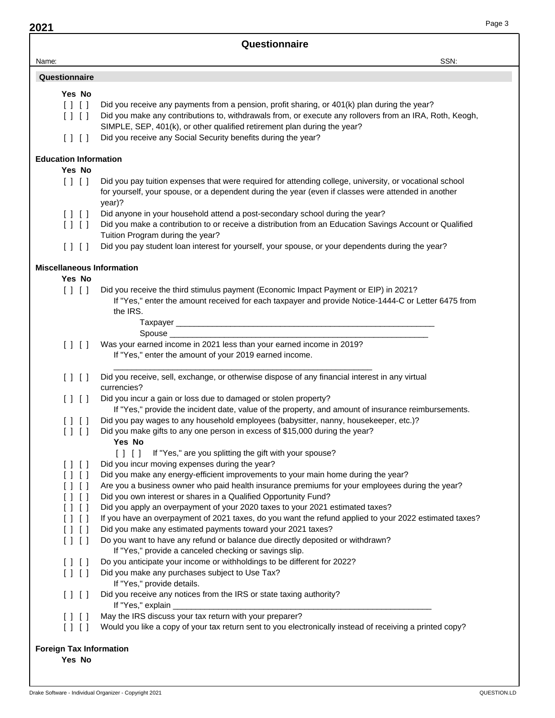**2021**

|                                                | Questionnaire                                                                                                                                                                                                            |
|------------------------------------------------|--------------------------------------------------------------------------------------------------------------------------------------------------------------------------------------------------------------------------|
| Name:                                          | SSN:                                                                                                                                                                                                                     |
| Questionnaire                                  |                                                                                                                                                                                                                          |
| Yes No                                         |                                                                                                                                                                                                                          |
| $[ \ ] \ [ \ ]$                                | Did you receive any payments from a pension, profit sharing, or 401(k) plan during the year?                                                                                                                             |
| $\begin{bmatrix} 1 & 1 \\ 1 & 1 \end{bmatrix}$ | Did you make any contributions to, withdrawals from, or execute any rollovers from an IRA, Roth, Keogh,<br>SIMPLE, SEP, 401(k), or other qualified retirement plan during the year?                                      |
| [11]                                           | Did you receive any Social Security benefits during the year?                                                                                                                                                            |
| <b>Education Information</b>                   |                                                                                                                                                                                                                          |
| Yes No                                         |                                                                                                                                                                                                                          |
| $[ \ ] \ [ \ ]$                                | Did you pay tuition expenses that were required for attending college, university, or vocational school<br>for yourself, your spouse, or a dependent during the year (even if classes were attended in another<br>year)? |
| [11]                                           | Did anyone in your household attend a post-secondary school during the year?                                                                                                                                             |
| $\begin{bmatrix} 1 & 1 \\ 1 & 1 \end{bmatrix}$ | Did you make a contribution to or receive a distribution from an Education Savings Account or Qualified<br>Tuition Program during the year?                                                                              |
| [ ] [ ]                                        | Did you pay student loan interest for yourself, your spouse, or your dependents during the year?                                                                                                                         |
| <b>Miscellaneous Information</b>               |                                                                                                                                                                                                                          |
| Yes No                                         |                                                                                                                                                                                                                          |
| $[ \ ] \ [ \ ]$                                | Did you receive the third stimulus payment (Economic Impact Payment or EIP) in 2021?<br>If "Yes," enter the amount received for each taxpayer and provide Notice-1444-C or Letter 6475 from<br>the IRS.                  |
|                                                |                                                                                                                                                                                                                          |
|                                                | Spouse ___________                                                                                                                                                                                                       |
| $[ \ ] \ [ \ ]$                                | Was your earned income in 2021 less than your earned income in 2019?<br>If "Yes," enter the amount of your 2019 earned income.                                                                                           |
| [11]                                           | Did you receive, sell, exchange, or otherwise dispose of any financial interest in any virtual<br>currencies?                                                                                                            |
| $[ \ ]$ $[ \ ]$                                | Did you incur a gain or loss due to damaged or stolen property?<br>If "Yes," provide the incident date, value of the property, and amount of insurance reimbursements.                                                   |
| $\Box$                                         | Did you pay wages to any household employees (babysitter, nanny, housekeeper, etc.)?                                                                                                                                     |
| $[ \; ] \; [ \; ]$                             | Did you make gifts to any one person in excess of \$15,000 during the year?<br>Yes No                                                                                                                                    |
|                                                | [] [] If "Yes," are you splitting the gift with your spouse?                                                                                                                                                             |
| [ ] [ ]                                        | Did you incur moving expenses during the year?                                                                                                                                                                           |
| $[ \ ] \ [ \ ]$                                | Did you make any energy-efficient improvements to your main home during the year?                                                                                                                                        |
| [ ] [ ]                                        | Are you a business owner who paid health insurance premiums for your employees during the year?                                                                                                                          |
| [ ] [ ]                                        | Did you own interest or shares in a Qualified Opportunity Fund?                                                                                                                                                          |
| [ ] [ ]<br>[ ] [ ]                             | Did you apply an overpayment of your 2020 taxes to your 2021 estimated taxes?<br>If you have an overpayment of 2021 taxes, do you want the refund applied to your 2022 estimated taxes?                                  |
| [1]                                            | Did you make any estimated payments toward your 2021 taxes?                                                                                                                                                              |
| [11]                                           | Do you want to have any refund or balance due directly deposited or withdrawn?                                                                                                                                           |
|                                                | If "Yes," provide a canceled checking or savings slip.                                                                                                                                                                   |
| [ ] [ ]                                        | Do you anticipate your income or withholdings to be different for 2022?                                                                                                                                                  |
| [11]                                           | Did you make any purchases subject to Use Tax?<br>If "Yes," provide details.                                                                                                                                             |
| [11]                                           | Did you receive any notices from the IRS or state taxing authority?<br>If "Yes," explain _____________                                                                                                                   |
| [ ] [ ]                                        | May the IRS discuss your tax return with your preparer?                                                                                                                                                                  |
| [11]                                           | Would you like a copy of your tax return sent to you electronically instead of receiving a printed copy?                                                                                                                 |
| <b>Foreign Tax Information</b>                 |                                                                                                                                                                                                                          |
| Yes No                                         |                                                                                                                                                                                                                          |
|                                                |                                                                                                                                                                                                                          |